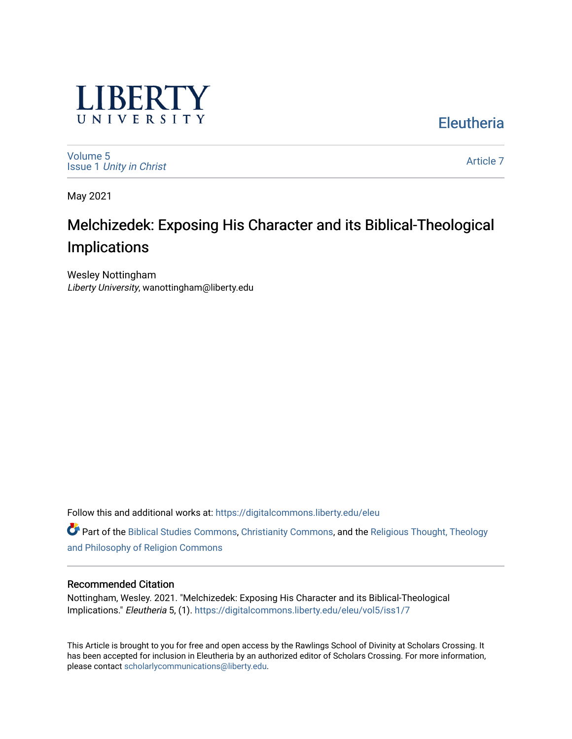

**Eleutheria** 

[Volume 5](https://digitalcommons.liberty.edu/eleu/vol5) Issue 1 [Unity in Christ](https://digitalcommons.liberty.edu/eleu/vol5/iss1) 

[Article 7](https://digitalcommons.liberty.edu/eleu/vol5/iss1/7) 

May 2021

# Melchizedek: Exposing His Character and its Biblical-Theological Implications

Wesley Nottingham Liberty University, wanottingham@liberty.edu

Follow this and additional works at: [https://digitalcommons.liberty.edu/eleu](https://digitalcommons.liberty.edu/eleu?utm_source=digitalcommons.liberty.edu%2Feleu%2Fvol5%2Fiss1%2F7&utm_medium=PDF&utm_campaign=PDFCoverPages) 

Part of the [Biblical Studies Commons,](http://network.bepress.com/hgg/discipline/539?utm_source=digitalcommons.liberty.edu%2Feleu%2Fvol5%2Fiss1%2F7&utm_medium=PDF&utm_campaign=PDFCoverPages) [Christianity Commons,](http://network.bepress.com/hgg/discipline/1181?utm_source=digitalcommons.liberty.edu%2Feleu%2Fvol5%2Fiss1%2F7&utm_medium=PDF&utm_campaign=PDFCoverPages) and the [Religious Thought, Theology](http://network.bepress.com/hgg/discipline/544?utm_source=digitalcommons.liberty.edu%2Feleu%2Fvol5%2Fiss1%2F7&utm_medium=PDF&utm_campaign=PDFCoverPages)  [and Philosophy of Religion Commons](http://network.bepress.com/hgg/discipline/544?utm_source=digitalcommons.liberty.edu%2Feleu%2Fvol5%2Fiss1%2F7&utm_medium=PDF&utm_campaign=PDFCoverPages)

# Recommended Citation

Nottingham, Wesley. 2021. "Melchizedek: Exposing His Character and its Biblical-Theological Implications." Eleutheria 5, (1). [https://digitalcommons.liberty.edu/eleu/vol5/iss1/7](https://digitalcommons.liberty.edu/eleu/vol5/iss1/7?utm_source=digitalcommons.liberty.edu%2Feleu%2Fvol5%2Fiss1%2F7&utm_medium=PDF&utm_campaign=PDFCoverPages)

This Article is brought to you for free and open access by the Rawlings School of Divinity at Scholars Crossing. It has been accepted for inclusion in Eleutheria by an authorized editor of Scholars Crossing. For more information, please contact [scholarlycommunications@liberty.edu.](mailto:scholarlycommunications@liberty.edu)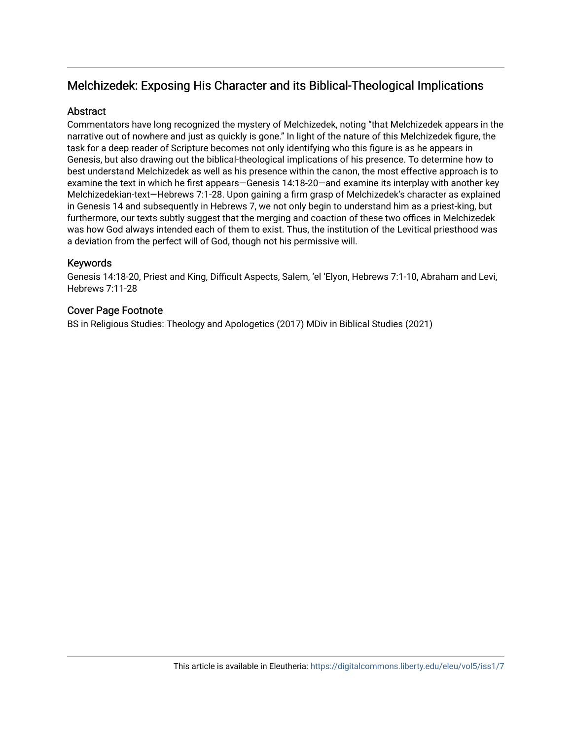# Melchizedek: Exposing His Character and its Biblical-Theological Implications

# **Abstract**

Commentators have long recognized the mystery of Melchizedek, noting "that Melchizedek appears in the narrative out of nowhere and just as quickly is gone." In light of the nature of this Melchizedek figure, the task for a deep reader of Scripture becomes not only identifying who this figure is as he appears in Genesis, but also drawing out the biblical-theological implications of his presence. To determine how to best understand Melchizedek as well as his presence within the canon, the most effective approach is to examine the text in which he first appears—Genesis 14:18-20—and examine its interplay with another key Melchizedekian-text—Hebrews 7:1-28. Upon gaining a firm grasp of Melchizedek's character as explained in Genesis 14 and subsequently in Hebrews 7, we not only begin to understand him as a priest-king, but furthermore, our texts subtly suggest that the merging and coaction of these two offices in Melchizedek was how God always intended each of them to exist. Thus, the institution of the Levitical priesthood was a deviation from the perfect will of God, though not his permissive will.

# Keywords

Genesis 14:18-20, Priest and King, Difficult Aspects, Salem, 'el 'Elyon, Hebrews 7:1-10, Abraham and Levi, Hebrews 7:11-28

# Cover Page Footnote

BS in Religious Studies: Theology and Apologetics (2017) MDiv in Biblical Studies (2021)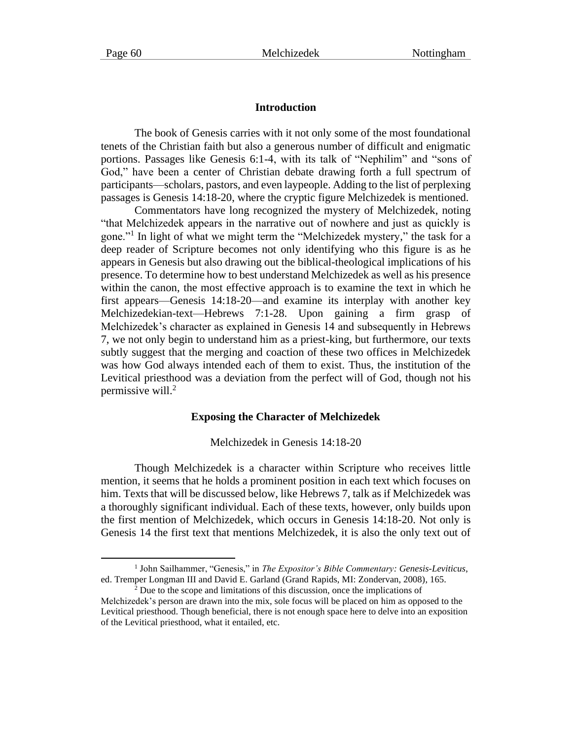#### **Introduction**

The book of Genesis carries with it not only some of the most foundational tenets of the Christian faith but also a generous number of difficult and enigmatic portions. Passages like Genesis 6:1-4, with its talk of "Nephilim" and "sons of God," have been a center of Christian debate drawing forth a full spectrum of participants—scholars, pastors, and even laypeople. Adding to the list of perplexing passages is Genesis 14:18-20, where the cryptic figure Melchizedek is mentioned.

Commentators have long recognized the mystery of Melchizedek, noting "that Melchizedek appears in the narrative out of nowhere and just as quickly is gone."<sup>1</sup> In light of what we might term the "Melchizedek mystery," the task for a deep reader of Scripture becomes not only identifying who this figure is as he appears in Genesis but also drawing out the biblical-theological implications of his presence. To determine how to best understand Melchizedek as well as his presence within the canon, the most effective approach is to examine the text in which he first appears—Genesis 14:18-20—and examine its interplay with another key Melchizedekian-text—Hebrews 7:1-28. Upon gaining a firm grasp of Melchizedek's character as explained in Genesis 14 and subsequently in Hebrews 7, we not only begin to understand him as a priest-king, but furthermore, our texts subtly suggest that the merging and coaction of these two offices in Melchizedek was how God always intended each of them to exist. Thus, the institution of the Levitical priesthood was a deviation from the perfect will of God, though not his permissive will. $^{2}$ 

#### **Exposing the Character of Melchizedek**

#### Melchizedek in Genesis 14:18-20

Though Melchizedek is a character within Scripture who receives little mention, it seems that he holds a prominent position in each text which focuses on him. Texts that will be discussed below, like Hebrews 7, talk as if Melchizedek was a thoroughly significant individual. Each of these texts, however, only builds upon the first mention of Melchizedek, which occurs in Genesis 14:18-20. Not only is Genesis 14 the first text that mentions Melchizedek, it is also the only text out of

<sup>&</sup>lt;sup>1</sup> John Sailhammer, "Genesis," in *The Expositor's Bible Commentary: Genesis-Leviticus*, ed. Tremper Longman III and David E. Garland (Grand Rapids, MI: Zondervan, 2008), 165.

 $2^2$  Due to the scope and limitations of this discussion, once the implications of Melchizedek's person are drawn into the mix, sole focus will be placed on him as opposed to the Levitical priesthood. Though beneficial, there is not enough space here to delve into an exposition of the Levitical priesthood, what it entailed, etc.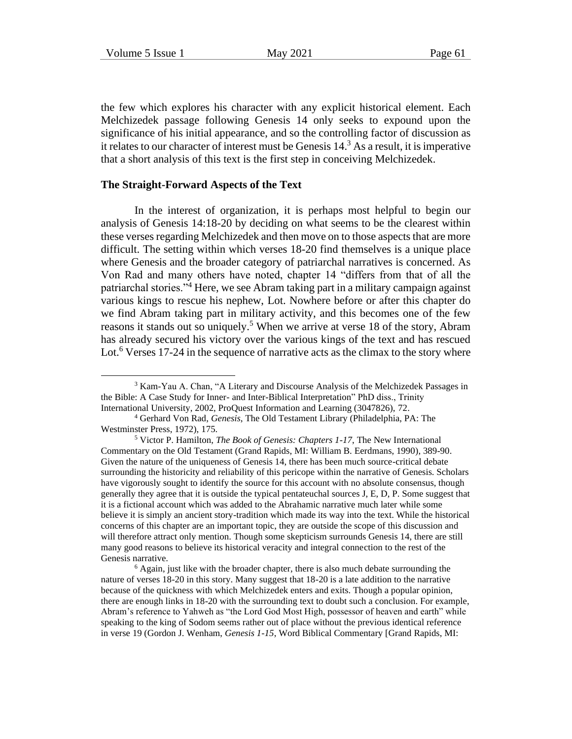the few which explores his character with any explicit historical element. Each Melchizedek passage following Genesis 14 only seeks to expound upon the significance of his initial appearance, and so the controlling factor of discussion as it relates to our character of interest must be Genesis  $14<sup>3</sup>$ . As a result, it is imperative that a short analysis of this text is the first step in conceiving Melchizedek.

#### **The Straight-Forward Aspects of the Text**

In the interest of organization, it is perhaps most helpful to begin our analysis of Genesis 14:18-20 by deciding on what seems to be the clearest within these verses regarding Melchizedek and then move on to those aspects that are more difficult. The setting within which verses 18-20 find themselves is a unique place where Genesis and the broader category of patriarchal narratives is concerned. As Von Rad and many others have noted, chapter 14 "differs from that of all the patriarchal stories."<sup>4</sup> Here, we see Abram taking part in a military campaign against various kings to rescue his nephew, Lot. Nowhere before or after this chapter do we find Abram taking part in military activity, and this becomes one of the few reasons it stands out so uniquely.<sup>5</sup> When we arrive at verse 18 of the story, Abram has already secured his victory over the various kings of the text and has rescued Lot.<sup>6</sup> Verses 17-24 in the sequence of narrative acts as the climax to the story where

<sup>3</sup> Kam-Yau A. Chan, "A Literary and Discourse Analysis of the Melchizedek Passages in the Bible: A Case Study for Inner- and Inter-Biblical Interpretation" PhD diss., Trinity International University, 2002, ProQuest Information and Learning (3047826), 72.

<sup>4</sup> Gerhard Von Rad, *Genesis*, The Old Testament Library (Philadelphia, PA: The Westminster Press, 1972), 175.

<sup>5</sup> Victor P. Hamilton, *The Book of Genesis: Chapters 1-17*, The New International Commentary on the Old Testament (Grand Rapids, MI: William B. Eerdmans, 1990), 389-90. Given the nature of the uniqueness of Genesis 14, there has been much source-critical debate surrounding the historicity and reliability of this pericope within the narrative of Genesis. Scholars have vigorously sought to identify the source for this account with no absolute consensus, though generally they agree that it is outside the typical pentateuchal sources J, E, D, P. Some suggest that it is a fictional account which was added to the Abrahamic narrative much later while some believe it is simply an ancient story-tradition which made its way into the text. While the historical concerns of this chapter are an important topic, they are outside the scope of this discussion and will therefore attract only mention. Though some skepticism surrounds Genesis 14, there are still many good reasons to believe its historical veracity and integral connection to the rest of the Genesis narrative.

 $6$  Again, just like with the broader chapter, there is also much debate surrounding the nature of verses 18-20 in this story. Many suggest that 18-20 is a late addition to the narrative because of the quickness with which Melchizedek enters and exits. Though a popular opinion, there are enough links in 18-20 with the surrounding text to doubt such a conclusion. For example, Abram's reference to Yahweh as "the Lord God Most High, possessor of heaven and earth" while speaking to the king of Sodom seems rather out of place without the previous identical reference in verse 19 (Gordon J. Wenham, *Genesis 1-15*, Word Biblical Commentary [Grand Rapids, MI: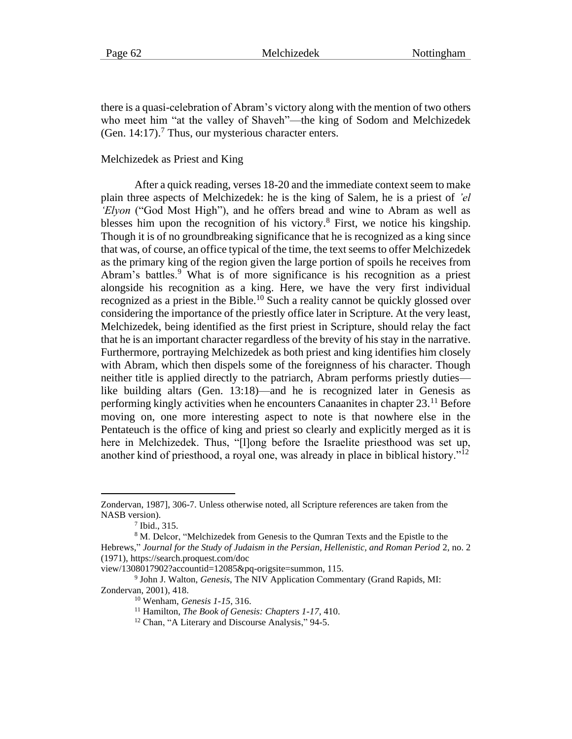there is a quasi-celebration of Abram's victory along with the mention of two others who meet him "at the valley of Shaveh"—the king of Sodom and Melchizedek (Gen. 14:17).<sup>7</sup> Thus, our mysterious character enters.

#### Melchizedek as Priest and King

After a quick reading, verses 18-20 and the immediate context seem to make plain three aspects of Melchizedek: he is the king of Salem, he is a priest of *'el 'Elyon* ("God Most High"), and he offers bread and wine to Abram as well as blesses him upon the recognition of his victory.<sup>8</sup> First, we notice his kingship. Though it is of no groundbreaking significance that he is recognized as a king since that was, of course, an office typical of the time, the text seems to offer Melchizedek as the primary king of the region given the large portion of spoils he receives from Abram's battles.<sup>9</sup> What is of more significance is his recognition as a priest alongside his recognition as a king. Here, we have the very first individual recognized as a priest in the Bible.<sup>10</sup> Such a reality cannot be quickly glossed over considering the importance of the priestly office later in Scripture. At the very least, Melchizedek, being identified as the first priest in Scripture, should relay the fact that he is an important character regardless of the brevity of his stay in the narrative. Furthermore, portraying Melchizedek as both priest and king identifies him closely with Abram, which then dispels some of the foreignness of his character. Though neither title is applied directly to the patriarch, Abram performs priestly duties like building altars (Gen. 13:18)—and he is recognized later in Genesis as performing kingly activities when he encounters Canaanites in chapter 23.<sup>11</sup> Before moving on, one more interesting aspect to note is that nowhere else in the Pentateuch is the office of king and priest so clearly and explicitly merged as it is here in Melchizedek. Thus, "[l]ong before the Israelite priesthood was set up, another kind of priesthood, a royal one, was already in place in biblical history."<sup>12</sup>

Zondervan, 1987], 306-7. Unless otherwise noted, all Scripture references are taken from the NASB version).

<sup>7</sup> Ibid., 315.

<sup>8</sup> M. Delcor, "Melchizedek from Genesis to the Qumran Texts and the Epistle to the Hebrews," *Journal for the Study of Judaism in the Persian, Hellenistic, and Roman Period* 2, no. 2 (1971), https://search.proquest.com/doc

view/1308017902?accountid=12085&pq-origsite=summon, 115.

<sup>9</sup> John J. Walton, *Genesis*, The NIV Application Commentary (Grand Rapids, MI: Zondervan, 2001), 418.

<sup>10</sup> Wenham, *Genesis 1-15*, 316.

<sup>11</sup> Hamilton, *The Book of Genesis: Chapters 1-17*, 410.

<sup>&</sup>lt;sup>12</sup> Chan, "A Literary and Discourse Analysis," 94-5.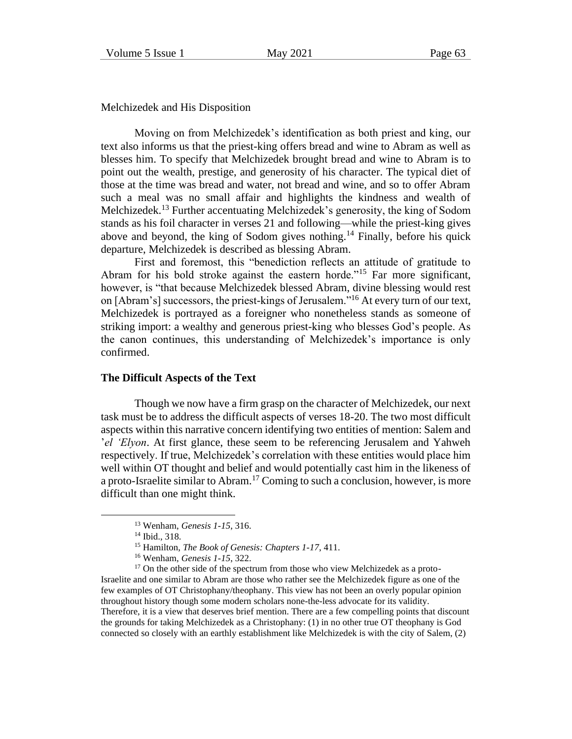Melchizedek and His Disposition

Moving on from Melchizedek's identification as both priest and king, our text also informs us that the priest-king offers bread and wine to Abram as well as blesses him. To specify that Melchizedek brought bread and wine to Abram is to point out the wealth, prestige, and generosity of his character. The typical diet of those at the time was bread and water, not bread and wine, and so to offer Abram such a meal was no small affair and highlights the kindness and wealth of Melchizedek.<sup>13</sup> Further accentuating Melchizedek's generosity, the king of Sodom stands as his foil character in verses 21 and following—while the priest-king gives above and beyond, the king of Sodom gives nothing.<sup>14</sup> Finally, before his quick departure, Melchizedek is described as blessing Abram.

First and foremost, this "benediction reflects an attitude of gratitude to Abram for his bold stroke against the eastern horde."<sup>15</sup> Far more significant, however, is "that because Melchizedek blessed Abram, divine blessing would rest on [Abram's] successors, the priest-kings of Jerusalem."<sup>16</sup> At every turn of our text, Melchizedek is portrayed as a foreigner who nonetheless stands as someone of striking import: a wealthy and generous priest-king who blesses God's people. As the canon continues, this understanding of Melchizedek's importance is only confirmed.

#### **The Difficult Aspects of the Text**

Though we now have a firm grasp on the character of Melchizedek, our next task must be to address the difficult aspects of verses 18-20. The two most difficult aspects within this narrative concern identifying two entities of mention: Salem and '*el 'Elyon*. At first glance, these seem to be referencing Jerusalem and Yahweh respectively. If true, Melchizedek's correlation with these entities would place him well within OT thought and belief and would potentially cast him in the likeness of a proto-Israelite similar to Abram.<sup>17</sup> Coming to such a conclusion, however, is more difficult than one might think.

<sup>13</sup> Wenham, *Genesis 1-15*, 316.

<sup>14</sup> Ibid., 318.

<sup>15</sup> Hamilton, *The Book of Genesis: Chapters 1-17*, 411.

<sup>16</sup> Wenham, *Genesis 1-15*, 322.

 $17$  On the other side of the spectrum from those who view Melchizedek as a proto-Israelite and one similar to Abram are those who rather see the Melchizedek figure as one of the few examples of OT Christophany/theophany. This view has not been an overly popular opinion throughout history though some modern scholars none-the-less advocate for its validity. Therefore, it is a view that deserves brief mention. There are a few compelling points that discount the grounds for taking Melchizedek as a Christophany: (1) in no other true OT theophany is God connected so closely with an earthly establishment like Melchizedek is with the city of Salem, (2)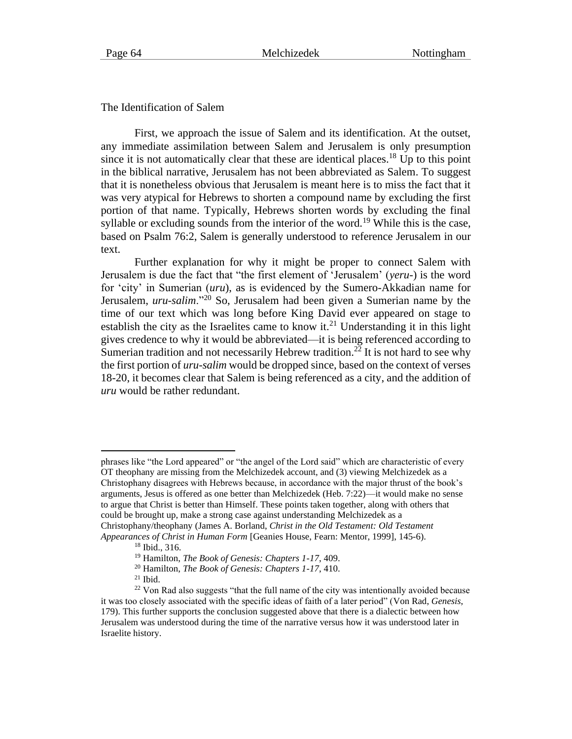The Identification of Salem

First, we approach the issue of Salem and its identification. At the outset, any immediate assimilation between Salem and Jerusalem is only presumption since it is not automatically clear that these are identical places.<sup>18</sup> Up to this point in the biblical narrative, Jerusalem has not been abbreviated as Salem. To suggest that it is nonetheless obvious that Jerusalem is meant here is to miss the fact that it was very atypical for Hebrews to shorten a compound name by excluding the first portion of that name. Typically, Hebrews shorten words by excluding the final syllable or excluding sounds from the interior of the word.<sup>19</sup> While this is the case, based on Psalm 76:2, Salem is generally understood to reference Jerusalem in our text.

Further explanation for why it might be proper to connect Salem with Jerusalem is due the fact that "the first element of 'Jerusalem' (*yeru-*) is the word for 'city' in Sumerian (*uru*), as is evidenced by the Sumero-Akkadian name for Jerusalem, *uru-salim*."<sup>20</sup> So, Jerusalem had been given a Sumerian name by the time of our text which was long before King David ever appeared on stage to establish the city as the Israelites came to know it.<sup>21</sup> Understanding it in this light gives credence to why it would be abbreviated—it is being referenced according to Sumerian tradition and not necessarily Hebrew tradition.<sup>22</sup> It is not hard to see why the first portion of *uru-salim* would be dropped since, based on the context of verses 18-20, it becomes clear that Salem is being referenced as a city, and the addition of *uru* would be rather redundant.

phrases like "the Lord appeared" or "the angel of the Lord said" which are characteristic of every OT theophany are missing from the Melchizedek account, and (3) viewing Melchizedek as a Christophany disagrees with Hebrews because, in accordance with the major thrust of the book's arguments, Jesus is offered as one better than Melchizedek (Heb. 7:22)—it would make no sense to argue that Christ is better than Himself. These points taken together, along with others that could be brought up, make a strong case against understanding Melchizedek as a Christophany/theophany (James A. Borland, *Christ in the Old Testament: Old Testament Appearances of Christ in Human Form* [Geanies House, Fearn: Mentor, 1999], 145-6).

<sup>18</sup> Ibid., 316.

<sup>19</sup> Hamilton, *The Book of Genesis: Chapters 1-17*, 409.

<sup>20</sup> Hamilton, *The Book of Genesis: Chapters 1-17*, 410.

 $21$  Ibid.

<sup>&</sup>lt;sup>22</sup> Von Rad also suggests "that the full name of the city was intentionally avoided because it was too closely associated with the specific ideas of faith of a later period" (Von Rad, *Genesis*, 179). This further supports the conclusion suggested above that there is a dialectic between how Jerusalem was understood during the time of the narrative versus how it was understood later in Israelite history.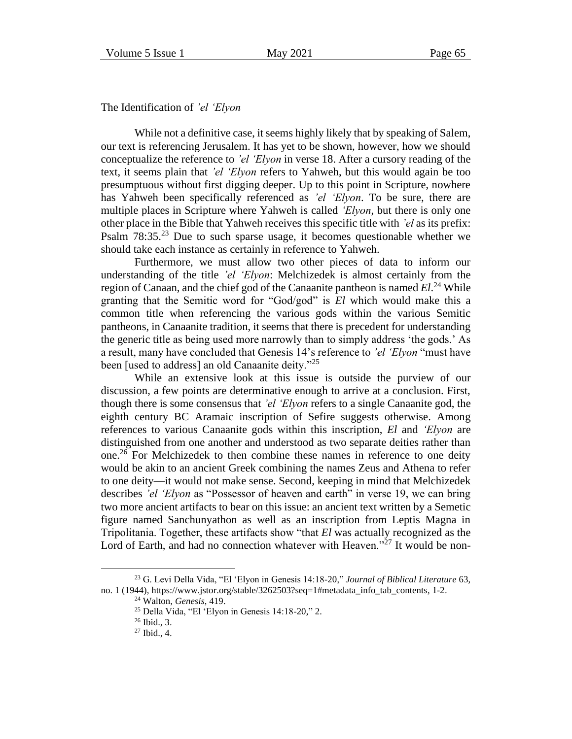The Identification of *'el 'Elyon*

While not a definitive case, it seems highly likely that by speaking of Salem, our text is referencing Jerusalem. It has yet to be shown, however, how we should conceptualize the reference to *'el 'Elyon* in verse 18. After a cursory reading of the text, it seems plain that *'el 'Elyon* refers to Yahweh, but this would again be too presumptuous without first digging deeper. Up to this point in Scripture, nowhere has Yahweh been specifically referenced as *'el 'Elyon*. To be sure, there are multiple places in Scripture where Yahweh is called *'Elyon*, but there is only one other place in the Bible that Yahweh receives this specific title with *'el* as its prefix: Psalm  $78:35.^{23}$  Due to such sparse usage, it becomes questionable whether we should take each instance as certainly in reference to Yahweh.

Furthermore, we must allow two other pieces of data to inform our understanding of the title *'el 'Elyon*: Melchizedek is almost certainly from the region of Canaan, and the chief god of the Canaanite pantheon is named *El*. <sup>24</sup> While granting that the Semitic word for "God/god" is *El* which would make this a common title when referencing the various gods within the various Semitic pantheons, in Canaanite tradition, it seems that there is precedent for understanding the generic title as being used more narrowly than to simply address 'the gods.' As a result, many have concluded that Genesis 14's reference to *'el 'Elyon* "must have been [used to address] an old Canaanite deity."<sup>25</sup>

While an extensive look at this issue is outside the purview of our discussion, a few points are determinative enough to arrive at a conclusion. First, though there is some consensus that *'el 'Elyon* refers to a single Canaanite god, the eighth century BC Aramaic inscription of Sefire suggests otherwise. Among references to various Canaanite gods within this inscription, *El* and *'Elyon* are distinguished from one another and understood as two separate deities rather than one.<sup>26</sup> For Melchizedek to then combine these names in reference to one deity would be akin to an ancient Greek combining the names Zeus and Athena to refer to one deity—it would not make sense. Second, keeping in mind that Melchizedek describes *'el 'Elyon* as "Possessor of heaven and earth" in verse 19, we can bring two more ancient artifacts to bear on this issue: an ancient text written by a Semetic figure named Sanchunyathon as well as an inscription from Leptis Magna in Tripolitania. Together, these artifacts show "that *El* was actually recognized as the Lord of Earth, and had no connection whatever with Heaven."<sup>27</sup> It would be non-

<sup>23</sup> G. Levi Della Vida, "El 'Elyon in Genesis 14:18-20," *Journal of Biblical Literature* 63, no. 1 (1944), https://www.jstor.org/stable/3262503?seq=1#metadata\_info\_tab\_contents, 1-2.

<sup>24</sup> Walton, *Genesis*, 419.

<sup>25</sup> Della Vida, "El 'Elyon in Genesis 14:18-20," 2.

<sup>26</sup> Ibid., 3.

 $27$  Ibid., 4.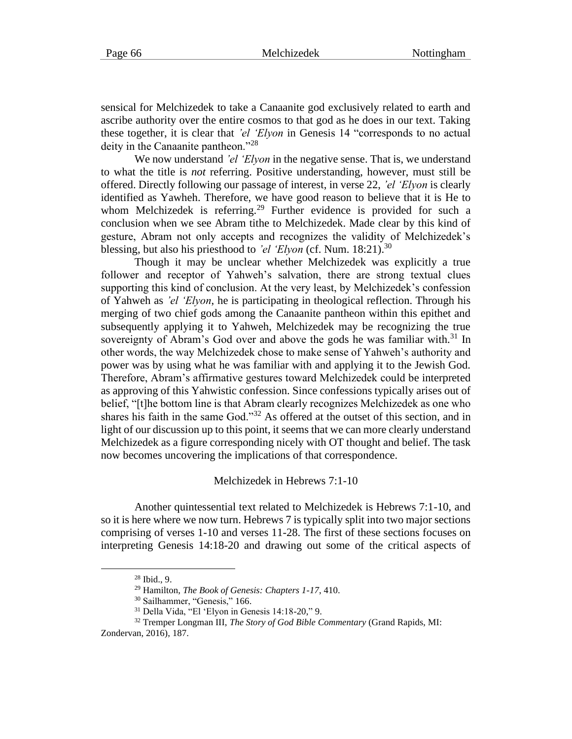sensical for Melchizedek to take a Canaanite god exclusively related to earth and ascribe authority over the entire cosmos to that god as he does in our text. Taking these together, it is clear that *'el 'Elyon* in Genesis 14 "corresponds to no actual deity in the Canaanite pantheon."<sup>28</sup>

We now understand *'el 'Elyon* in the negative sense. That is, we understand to what the title is *not* referring. Positive understanding, however, must still be offered. Directly following our passage of interest, in verse 22, *'el 'Elyon* is clearly identified as Yawheh. Therefore, we have good reason to believe that it is He to whom Melchizedek is referring.<sup>29</sup> Further evidence is provided for such a conclusion when we see Abram tithe to Melchizedek. Made clear by this kind of gesture, Abram not only accepts and recognizes the validity of Melchizedek's blessing, but also his priesthood to *'el 'Elyon* (cf. Num. 18:21).<sup>30</sup>

Though it may be unclear whether Melchizedek was explicitly a true follower and receptor of Yahweh's salvation, there are strong textual clues supporting this kind of conclusion. At the very least, by Melchizedek's confession of Yahweh as *'el 'Elyon*, he is participating in theological reflection. Through his merging of two chief gods among the Canaanite pantheon within this epithet and subsequently applying it to Yahweh, Melchizedek may be recognizing the true sovereignty of Abram's God over and above the gods he was familiar with.<sup>31</sup> In other words, the way Melchizedek chose to make sense of Yahweh's authority and power was by using what he was familiar with and applying it to the Jewish God. Therefore, Abram's affirmative gestures toward Melchizedek could be interpreted as approving of this Yahwistic confession. Since confessions typically arises out of belief, "[t]he bottom line is that Abram clearly recognizes Melchizedek as one who shares his faith in the same God."<sup>32</sup> As offered at the outset of this section, and in light of our discussion up to this point, it seems that we can more clearly understand Melchizedek as a figure corresponding nicely with OT thought and belief. The task now becomes uncovering the implications of that correspondence.

#### Melchizedek in Hebrews 7:1-10

Another quintessential text related to Melchizedek is Hebrews 7:1-10, and so it is here where we now turn. Hebrews 7 is typically split into two major sections comprising of verses 1-10 and verses 11-28. The first of these sections focuses on interpreting Genesis 14:18-20 and drawing out some of the critical aspects of

<sup>28</sup> Ibid., 9.

<sup>29</sup> Hamilton, *The Book of Genesis: Chapters 1-17*, 410.

<sup>&</sup>lt;sup>30</sup> Sailhammer, "Genesis," 166.

<sup>31</sup> Della Vida, "El 'Elyon in Genesis 14:18-20," 9.

<sup>32</sup> Tremper Longman III, *The Story of God Bible Commentary* (Grand Rapids, MI: Zondervan, 2016), 187.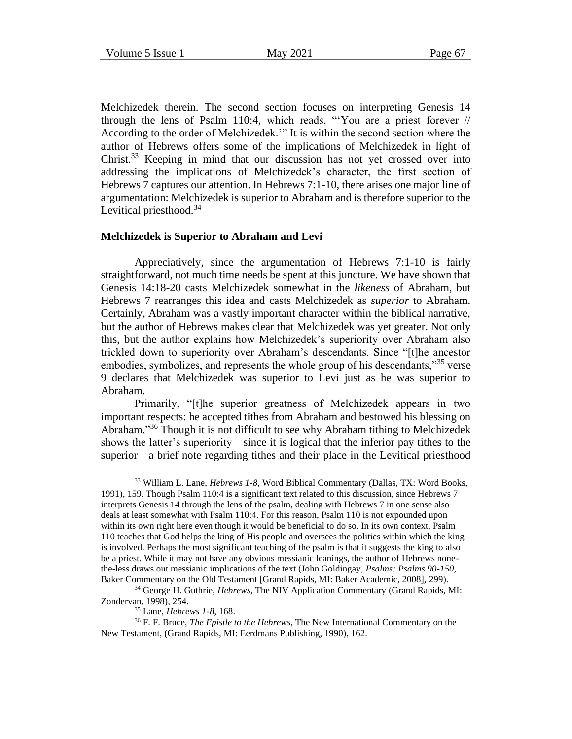Melchizedek therein. The second section focuses on interpreting Genesis 14 through the lens of Psalm 110:4, which reads, "'You are a priest forever // According to the order of Melchizedek.'" It is within the second section where the author of Hebrews offers some of the implications of Melchizedek in light of Christ.<sup>33</sup> Keeping in mind that our discussion has not yet crossed over into addressing the implications of Melchizedek's character, the first section of Hebrews 7 captures our attention. In Hebrews 7:1-10, there arises one major line of argumentation: Melchizedek is superior to Abraham and is therefore superior to the Levitical priesthood.<sup>34</sup>

#### **Melchizedek is Superior to Abraham and Levi**

Appreciatively, since the argumentation of Hebrews 7:1-10 is fairly straightforward, not much time needs be spent at this juncture. We have shown that Genesis 14:18-20 casts Melchizedek somewhat in the *likeness* of Abraham, but Hebrews 7 rearranges this idea and casts Melchizedek as *superior* to Abraham. Certainly, Abraham was a vastly important character within the biblical narrative, but the author of Hebrews makes clear that Melchizedek was yet greater. Not only this, but the author explains how Melchizedek's superiority over Abraham also trickled down to superiority over Abraham's descendants. Since "[t]he ancestor embodies, symbolizes, and represents the whole group of his descendants,<sup>35</sup> verse 9 declares that Melchizedek was superior to Levi just as he was superior to Abraham.

Primarily, "[t]he superior greatness of Melchizedek appears in two important respects: he accepted tithes from Abraham and bestowed his blessing on Abraham."<sup>36</sup> Though it is not difficult to see why Abraham tithing to Melchizedek shows the latter's superiority—since it is logical that the inferior pay tithes to the superior—a brief note regarding tithes and their place in the Levitical priesthood

<sup>33</sup> William L. Lane, *Hebrews 1-8*, Word Biblical Commentary (Dallas, TX: Word Books, 1991), 159. Though Psalm 110:4 is a significant text related to this discussion, since Hebrews 7 interprets Genesis 14 through the lens of the psalm, dealing with Hebrews 7 in one sense also deals at least somewhat with Psalm 110:4. For this reason, Psalm 110 is not expounded upon within its own right here even though it would be beneficial to do so. In its own context, Psalm 110 teaches that God helps the king of His people and oversees the politics within which the king is involved. Perhaps the most significant teaching of the psalm is that it suggests the king to also be a priest. While it may not have any obvious messianic leanings, the author of Hebrews nonethe-less draws out messianic implications of the text (John Goldingay, *Psalms: Psalms 90-150*, Baker Commentary on the Old Testament [Grand Rapids, MI: Baker Academic, 2008], 299).

<sup>34</sup> George H. Guthrie, *Hebrews*, The NIV Application Commentary (Grand Rapids, MI: Zondervan, 1998), 254.

<sup>35</sup> Lane, *Hebrews 1-8*, 168.

<sup>36</sup> F. F. Bruce, *The Epistle to the Hebrews*, The New International Commentary on the New Testament, (Grand Rapids, MI: Eerdmans Publishing, 1990), 162.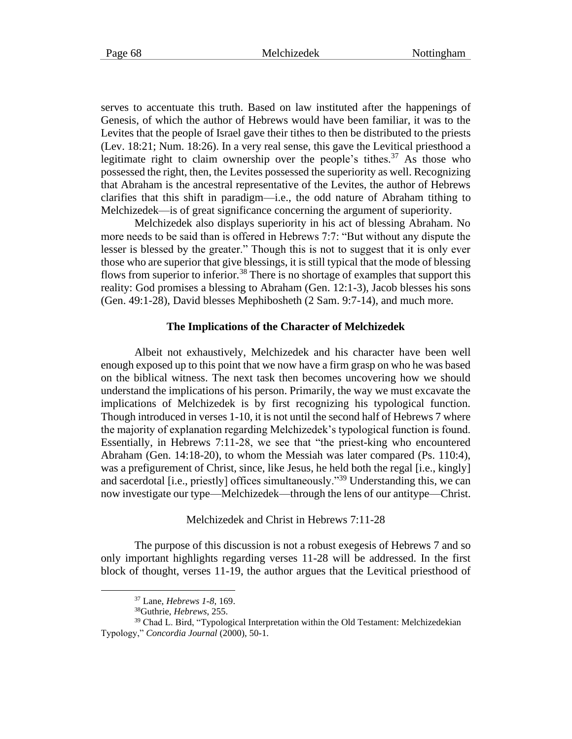serves to accentuate this truth. Based on law instituted after the happenings of Genesis, of which the author of Hebrews would have been familiar, it was to the Levites that the people of Israel gave their tithes to then be distributed to the priests

(Lev. 18:21; Num. 18:26). In a very real sense, this gave the Levitical priesthood a legitimate right to claim ownership over the people's tithes.<sup>37</sup> As those who possessed the right, then, the Levites possessed the superiority as well. Recognizing that Abraham is the ancestral representative of the Levites, the author of Hebrews clarifies that this shift in paradigm—i.e., the odd nature of Abraham tithing to Melchizedek—is of great significance concerning the argument of superiority.

Melchizedek also displays superiority in his act of blessing Abraham. No more needs to be said than is offered in Hebrews 7:7: "But without any dispute the lesser is blessed by the greater." Though this is not to suggest that it is only ever those who are superior that give blessings, it is still typical that the mode of blessing flows from superior to inferior.<sup>38</sup> There is no shortage of examples that support this reality: God promises a blessing to Abraham (Gen. 12:1-3), Jacob blesses his sons (Gen. 49:1-28), David blesses Mephibosheth (2 Sam. 9:7-14), and much more.

#### **The Implications of the Character of Melchizedek**

Albeit not exhaustively, Melchizedek and his character have been well enough exposed up to this point that we now have a firm grasp on who he was based on the biblical witness. The next task then becomes uncovering how we should understand the implications of his person. Primarily, the way we must excavate the implications of Melchizedek is by first recognizing his typological function. Though introduced in verses 1-10, it is not until the second half of Hebrews 7 where the majority of explanation regarding Melchizedek's typological function is found. Essentially, in Hebrews 7:11-28, we see that "the priest-king who encountered Abraham (Gen. 14:18-20), to whom the Messiah was later compared (Ps. 110:4), was a prefigurement of Christ, since, like Jesus, he held both the regal [i.e., kingly] and sacerdotal [i.e., priestly] offices simultaneously."<sup>39</sup> Understanding this, we can now investigate our type—Melchizedek—through the lens of our antitype—Christ.

Melchizedek and Christ in Hebrews 7:11-28

The purpose of this discussion is not a robust exegesis of Hebrews 7 and so only important highlights regarding verses 11-28 will be addressed. In the first block of thought, verses 11-19, the author argues that the Levitical priesthood of

<sup>37</sup> Lane, *Hebrews 1-8*, 169.

<sup>38</sup>Guthrie, *Hebrews*, 255.

<sup>39</sup> Chad L. Bird, "Typological Interpretation within the Old Testament: Melchizedekian Typology," *Concordia Journal* (2000), 50-1.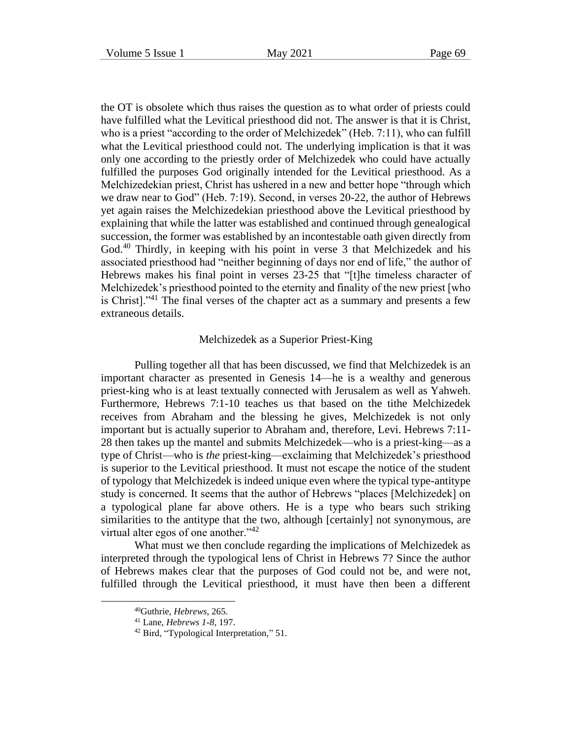the OT is obsolete which thus raises the question as to what order of priests could have fulfilled what the Levitical priesthood did not. The answer is that it is Christ, who is a priest "according to the order of Melchizedek" (Heb. 7:11), who can fulfill what the Levitical priesthood could not. The underlying implication is that it was only one according to the priestly order of Melchizedek who could have actually fulfilled the purposes God originally intended for the Levitical priesthood. As a Melchizedekian priest, Christ has ushered in a new and better hope "through which we draw near to God" (Heb. 7:19). Second, in verses 20-22, the author of Hebrews yet again raises the Melchizedekian priesthood above the Levitical priesthood by explaining that while the latter was established and continued through genealogical succession, the former was established by an incontestable oath given directly from God.<sup>40</sup> Thirdly, in keeping with his point in verse 3 that Melchizedek and his associated priesthood had "neither beginning of days nor end of life," the author of Hebrews makes his final point in verses 23-25 that "[t]he timeless character of Melchizedek's priesthood pointed to the eternity and finality of the new priest [who is Christ]."<sup>41</sup> The final verses of the chapter act as a summary and presents a few extraneous details.

#### Melchizedek as a Superior Priest-King

Pulling together all that has been discussed, we find that Melchizedek is an important character as presented in Genesis 14—he is a wealthy and generous priest-king who is at least textually connected with Jerusalem as well as Yahweh. Furthermore, Hebrews 7:1-10 teaches us that based on the tithe Melchizedek receives from Abraham and the blessing he gives, Melchizedek is not only important but is actually superior to Abraham and, therefore, Levi. Hebrews 7:11- 28 then takes up the mantel and submits Melchizedek—who is a priest-king—as a type of Christ—who is *the* priest-king—exclaiming that Melchizedek's priesthood is superior to the Levitical priesthood. It must not escape the notice of the student of typology that Melchizedek is indeed unique even where the typical type-antitype study is concerned. It seems that the author of Hebrews "places [Melchizedek] on a typological plane far above others. He is a type who bears such striking similarities to the antitype that the two, although [certainly] not synonymous, are virtual alter egos of one another." $42$ 

What must we then conclude regarding the implications of Melchizedek as interpreted through the typological lens of Christ in Hebrews 7? Since the author of Hebrews makes clear that the purposes of God could not be, and were not, fulfilled through the Levitical priesthood, it must have then been a different

<sup>40</sup>Guthrie, *Hebrews*, 265.

<sup>41</sup> Lane, *Hebrews 1-8*, 197.

<sup>&</sup>lt;sup>42</sup> Bird, "Typological Interpretation," 51.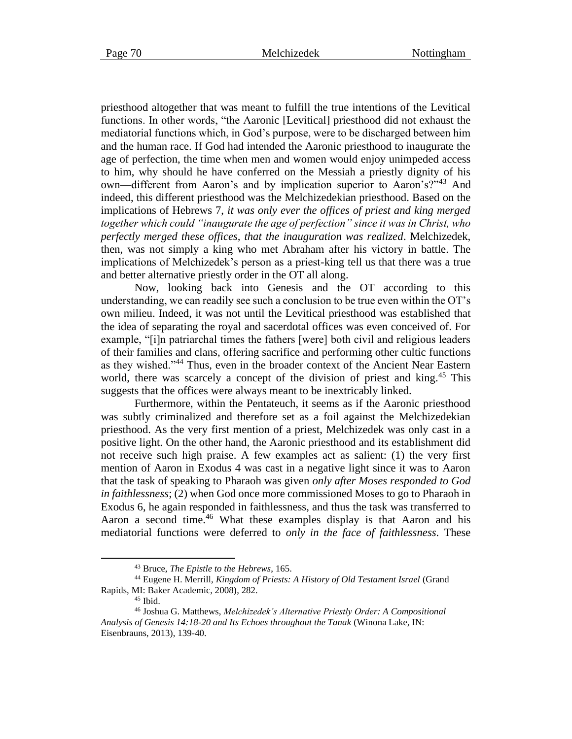priesthood altogether that was meant to fulfill the true intentions of the Levitical functions. In other words, "the Aaronic [Levitical] priesthood did not exhaust the mediatorial functions which, in God's purpose, were to be discharged between him and the human race. If God had intended the Aaronic priesthood to inaugurate the age of perfection, the time when men and women would enjoy unimpeded access to him, why should he have conferred on the Messiah a priestly dignity of his own—different from Aaron's and by implication superior to Aaron's?"<sup>43</sup> And indeed, this different priesthood was the Melchizedekian priesthood. Based on the implications of Hebrews 7, *it was only ever the offices of priest and king merged together which could "inaugurate the age of perfection" since it was in Christ, who perfectly merged these offices, that the inauguration was realized*. Melchizedek, then, was not simply a king who met Abraham after his victory in battle. The implications of Melchizedek's person as a priest-king tell us that there was a true and better alternative priestly order in the OT all along.

Now, looking back into Genesis and the OT according to this understanding, we can readily see such a conclusion to be true even within the OT's own milieu. Indeed, it was not until the Levitical priesthood was established that the idea of separating the royal and sacerdotal offices was even conceived of. For example, "[i]n patriarchal times the fathers [were] both civil and religious leaders of their families and clans, offering sacrifice and performing other cultic functions as they wished."<sup>44</sup> Thus, even in the broader context of the Ancient Near Eastern world, there was scarcely a concept of the division of priest and king.<sup>45</sup> This suggests that the offices were always meant to be inextricably linked.

Furthermore, within the Pentateuch, it seems as if the Aaronic priesthood was subtly criminalized and therefore set as a foil against the Melchizedekian priesthood. As the very first mention of a priest, Melchizedek was only cast in a positive light. On the other hand, the Aaronic priesthood and its establishment did not receive such high praise. A few examples act as salient: (1) the very first mention of Aaron in Exodus 4 was cast in a negative light since it was to Aaron that the task of speaking to Pharaoh was given *only after Moses responded to God in faithlessness*; (2) when God once more commissioned Moses to go to Pharaoh in Exodus 6, he again responded in faithlessness, and thus the task was transferred to Aaron a second time.<sup>46</sup> What these examples display is that Aaron and his mediatorial functions were deferred to *only in the face of faithlessness*. These

<sup>43</sup> Bruce, *The Epistle to the Hebrews*, 165.

<sup>44</sup> Eugene H. Merrill, *Kingdom of Priests: A History of Old Testament Israel* (Grand Rapids, MI: Baker Academic, 2008), 282.

 $45$  Ibid.

<sup>46</sup> Joshua G. Matthews, *Melchizedek's Alternative Priestly Order: A Compositional Analysis of Genesis 14:18-20 and Its Echoes throughout the Tanak* (Winona Lake, IN: Eisenbrauns, 2013), 139-40.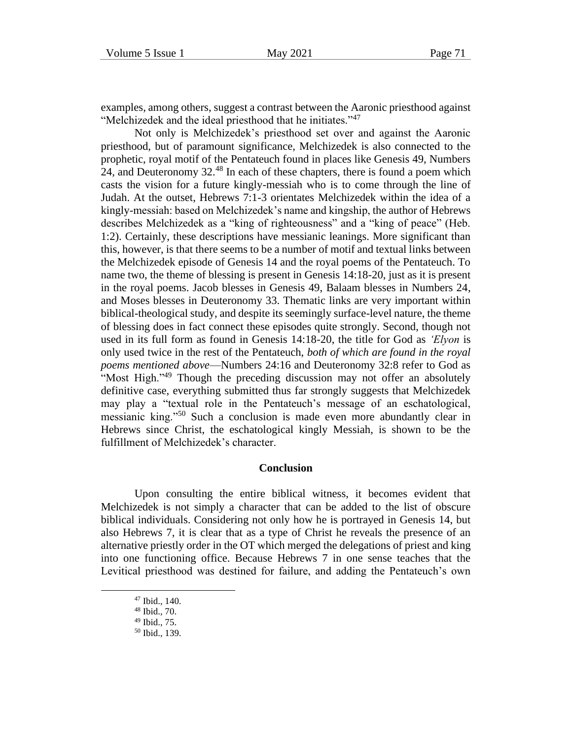examples, among others, suggest a contrast between the Aaronic priesthood against "Melchizedek and the ideal priesthood that he initiates."<sup>47</sup>

Not only is Melchizedek's priesthood set over and against the Aaronic priesthood, but of paramount significance, Melchizedek is also connected to the prophetic, royal motif of the Pentateuch found in places like Genesis 49, Numbers 24, and Deuteronomy 32.<sup>48</sup> In each of these chapters, there is found a poem which casts the vision for a future kingly-messiah who is to come through the line of Judah. At the outset, Hebrews 7:1-3 orientates Melchizedek within the idea of a kingly-messiah: based on Melchizedek's name and kingship, the author of Hebrews describes Melchizedek as a "king of righteousness" and a "king of peace" (Heb. 1:2). Certainly, these descriptions have messianic leanings. More significant than this, however, is that there seems to be a number of motif and textual links between the Melchizedek episode of Genesis 14 and the royal poems of the Pentateuch. To name two, the theme of blessing is present in Genesis 14:18-20, just as it is present in the royal poems. Jacob blesses in Genesis 49, Balaam blesses in Numbers 24, and Moses blesses in Deuteronomy 33. Thematic links are very important within biblical-theological study, and despite its seemingly surface-level nature, the theme of blessing does in fact connect these episodes quite strongly. Second, though not used in its full form as found in Genesis 14:18-20, the title for God as *'Elyon* is only used twice in the rest of the Pentateuch, *both of which are found in the royal poems mentioned above*—Numbers 24:16 and Deuteronomy 32:8 refer to God as "Most High."<sup>49</sup> Though the preceding discussion may not offer an absolutely definitive case, everything submitted thus far strongly suggests that Melchizedek may play a "textual role in the Pentateuch's message of an eschatological, messianic king."<sup>50</sup> Such a conclusion is made even more abundantly clear in Hebrews since Christ, the eschatological kingly Messiah, is shown to be the fulfillment of Melchizedek's character.

#### **Conclusion**

Upon consulting the entire biblical witness, it becomes evident that Melchizedek is not simply a character that can be added to the list of obscure biblical individuals. Considering not only how he is portrayed in Genesis 14, but also Hebrews 7, it is clear that as a type of Christ he reveals the presence of an alternative priestly order in the OT which merged the delegations of priest and king into one functioning office. Because Hebrews 7 in one sense teaches that the Levitical priesthood was destined for failure, and adding the Pentateuch's own

<sup>47</sup> Ibid., 140.

<sup>48</sup> Ibid., 70.

<sup>49</sup> Ibid., 75.

<sup>50</sup> Ibid., 139.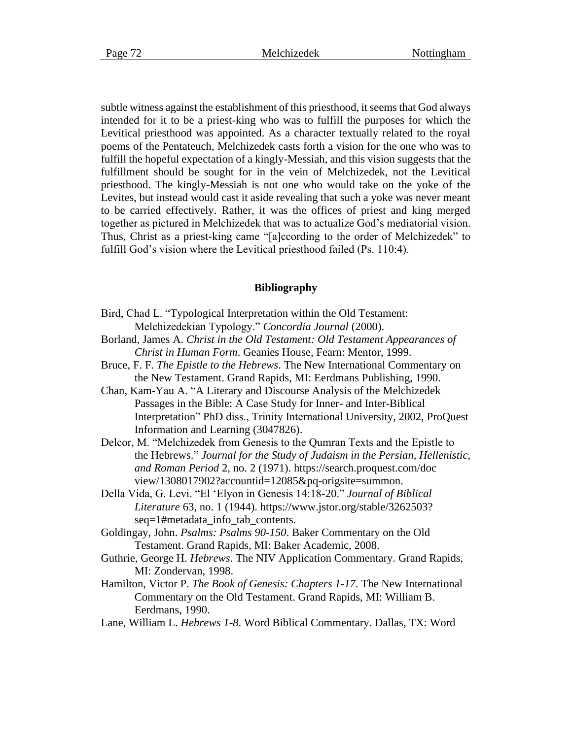subtle witness against the establishment of this priesthood, it seems that God always intended for it to be a priest-king who was to fulfill the purposes for which the Levitical priesthood was appointed. As a character textually related to the royal poems of the Pentateuch, Melchizedek casts forth a vision for the one who was to fulfill the hopeful expectation of a kingly-Messiah, and this vision suggests that the fulfillment should be sought for in the vein of Melchizedek, not the Levitical priesthood. The kingly-Messiah is not one who would take on the yoke of the Levites, but instead would cast it aside revealing that such a yoke was never meant to be carried effectively. Rather, it was the offices of priest and king merged together as pictured in Melchizedek that was to actualize God's mediatorial vision. Thus, Christ as a priest-king came "[a]ccording to the order of Melchizedek" to fulfill God's vision where the Levitical priesthood failed (Ps. 110:4).

#### **Bibliography**

- Bird, Chad L. "Typological Interpretation within the Old Testament: Melchizedekian Typology." *Concordia Journal* (2000).
- Borland, James A. *Christ in the Old Testament: Old Testament Appearances of Christ in Human Form*. Geanies House, Fearn: Mentor, 1999.
- Bruce, F. F. *The Epistle to the Hebrews*. The New International Commentary on the New Testament. Grand Rapids, MI: Eerdmans Publishing, 1990.
- Chan, Kam-Yau A. "A Literary and Discourse Analysis of the Melchizedek Passages in the Bible: A Case Study for Inner- and Inter-Biblical Interpretation" PhD diss., Trinity International University, 2002, ProQuest Information and Learning (3047826).
- Delcor, M. "Melchizedek from Genesis to the Qumran Texts and the Epistle to the Hebrews." *Journal for the Study of Judaism in the Persian, Hellenistic, and Roman Period* 2, no. 2 (1971). https://search.proquest.com/doc view/1308017902?accountid=12085&pq-origsite=summon.
- Della Vida, G. Levi. "El 'Elyon in Genesis 14:18-20." *Journal of Biblical Literature* 63, no. 1 (1944). https://www.jstor.org/stable/3262503? seq=1#metadata\_info\_tab\_contents.
- Goldingay, John. *Psalms: Psalms 90-150*. Baker Commentary on the Old Testament. Grand Rapids, MI: Baker Academic, 2008.
- Guthrie, George H. *Hebrews*. The NIV Application Commentary. Grand Rapids, MI: Zondervan, 1998.
- Hamilton, Victor P. *The Book of Genesis: Chapters 1-17*. The New International Commentary on the Old Testament. Grand Rapids, MI: William B. Eerdmans, 1990.
- Lane, William L. *Hebrews 1-8*. Word Biblical Commentary. Dallas, TX: Word